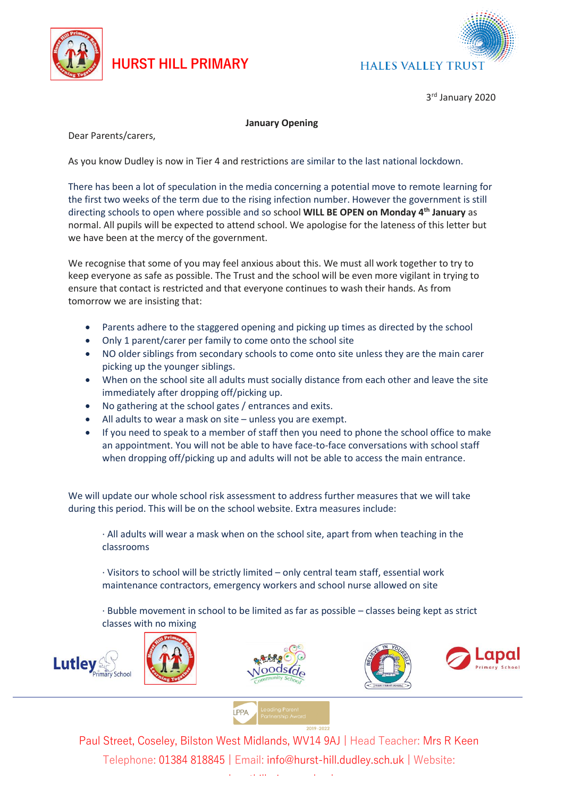

## **HURST HILL PRIMARY**



3 rd January 2020

## **January Opening**

Dear Parents/carers,

As you know Dudley is now in Tier 4 and restrictions are similar to the last national lockdown.

There has been a lot of speculation in the media concerning a potential move to remote learning for the first two weeks of the term due to the rising infection number. However the government is still directing schools to open where possible and so school **WILL BE OPEN on Monday 4th January** as normal. All pupils will be expected to attend school. We apologise for the lateness of this letter but we have been at the mercy of the government.

We recognise that some of you may feel anxious about this. We must all work together to try to keep everyone as safe as possible. The Trust and the school will be even more vigilant in trying to ensure that contact is restricted and that everyone continues to wash their hands. As from tomorrow we are insisting that:

- Parents adhere to the staggered opening and picking up times as directed by the school
- Only 1 parent/carer per family to come onto the school site
- NO older siblings from secondary schools to come onto site unless they are the main carer picking up the younger siblings.
- When on the school site all adults must socially distance from each other and leave the site immediately after dropping off/picking up.
- No gathering at the school gates / entrances and exits.
- All adults to wear a mask on site unless you are exempt.
- If you need to speak to a member of staff then you need to phone the school office to make an appointment. You will not be able to have face-to-face conversations with school staff when dropping off/picking up and adults will not be able to access the main entrance.

We will update our whole school risk assessment to address further measures that we will take during this period. This will be on the school website. Extra measures include:

· All adults will wear a mask when on the school site, apart from when teaching in the classrooms

· Visitors to school will be strictly limited – only central team staff, essential work maintenance contractors, emergency workers and school nurse allowed on site

· Bubble movement in school to be limited as far as possible – classes being kept as strict classes with no mixing









**I** PPA

Paul Street, Coseley, Bilston West Midlands, WV14 9AJ | Head Teacher: Mrs R Keen Telephone: 01384 818845 | Email: info@hurst-hill.dudley.sch.uk | Website: